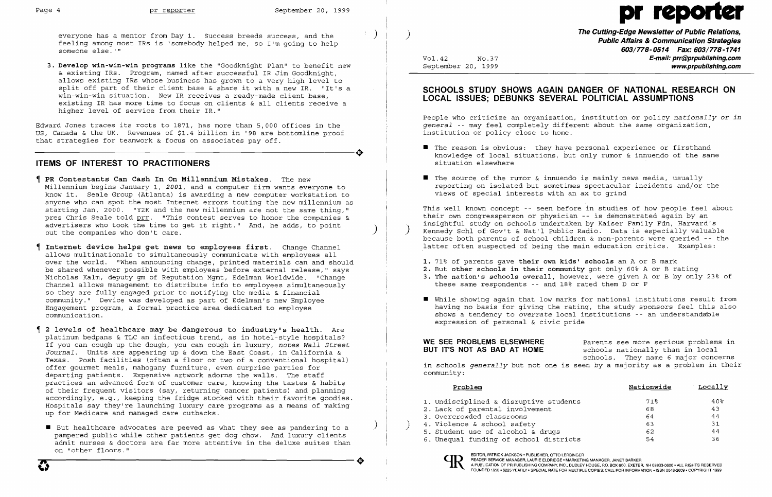everyone has a mentor from Day 1. Success breeds success, and the feeling among most IRs is 'somebody helped me, so I'm going to help someone else.'"

**3. Develop win-win-win programs** like the "Goodknight Plan" to benefit new & existing IRs. Program, named after successful IR Jim Goodknight, allows existing IRs whose business has grown to a very high level to split off part of their client base & share it with a new IR. "It's a win-win-win situation. New IR receives a ready-made client base, existing IR has more time to focus on clients & all clients receive a higher level of service from their IR."

Edward Jones traces its roots to 1871, has more than 5,000 offices in the US, Canada & the UK. Revenues of \$1.4 billion in '98 are bottomline proof -----------------------+ that strategies for teamwork & focus on associates payoff.

## **ITEMS OF INTEREST TO PRACTITIONERS**

- $\blacksquare$  The reason is obvious: they have personal experience or firsthand situation elsewhere
- $\blacksquare$  The source of the rumor & innuendo is mainly news media, usually views of special interests with an ax to grind
- **PR Contestants Can Cash In On Millennium Mistakes.** The new Millennium begins January 1, *2001,* and a computer firm wants everyone to know it. Seale Group (Atlanta) is awarding a new computer workstation to anyone who can spot the most Internet errors touting the new millennium as starting Jan, 2000. "Y2K and the new millennium are not the same thing," pres Chris Seale told prr. "This contest serves to honor the companies & pres chils scare cord <u>pit</u>. This concest serves to honor the companies<br>advertisers who took the time to get it right." And, he adds, to point advertisers who took the time to get it right." And, he adds, to point  $\left.\hspace{2cm}\right)$
- **Internet device helps get news to employees first.** Change Channel allows multinationals to simultaneously communicate with employees all Ì, over the world. "When announcing change, printed materials can and should be shared whenever possible with employees before external release," says Nicholas Kalm, deputy gm of Reputation Mgmt, Edelman Worldwide. "Change Channel allows management to distribute info to employees simultaneously so they are fully engaged prior to notifying the media & financial community." Device was developed as part of Edelman's new Employee Engagement program, a formal practice area dedicated to employee communication.
- **2 levels of healthcare may be dangerous to industry's health.** Are platinum bedpans & TLC an infectious trend, as in hotel-style hospitals? If you can cough up the dough, you can cough in luxury, notes *Wall Street Journal.* Units are appearing up & down the East Coast, in California & Texas. Posh facilities (often a floor or two of a conventional hospital) offer gourmet meals, mahogany furniture, even surprise parties for departing patients. Expensive artwork adorns the walls. The staff practices an advanced form of customer care, knowing the tastes & habits of their frequent visitors (say, returning cancer patients) and planning accordingly, e.g., keeping the fridge stocked with their favorite goodies. Hospitals say they're launching luxury care programs as a means of making up for Medicare and managed care cutbacks.
- **•** But healthcare advocates are peeved as what they see as pandering to a pampered public while other patients get dog chow. And luxury clients admit nurses & doctors are far more attentive in the deluxe suites than on "other floors."

 $\blacksquare$  While showing again that low marks for national institutions result from having no basis for giving the rating, the study sponsors feel this also shows a tendency to overrate local institutions -- an understandable

**WE SEE PROBLEMS ELSEWHERE** Parents see more serious problems in **BUT IT'S NOT AS BAD AT HOME** schools nationally than in local schools nationally than in local schools. They name 6 major concerns in schools *generally* but not one is seen by a majority as a problem in their

READER SERVICE MANAGER, LAURIE ELDRIDGE "MARKETING MANAGER, JANET BARKER OM AN PUBLICATION OF PRIMERING MANAGER, JANET BARKER (N. 2000).<br>FOI INDED 1968 + \$295 VEABLING COMPANY, INC., DUDLEY HOUSE, POINT AND COMPANY, INC., FOUNDED 1958· \$225 YEARLY· SPECIAL RATE FOR MULTIPLE COPIES: CALL FOR INFORMATION .ISSN 0048-2609· COPYRIGHT 1999

**The Cutting-Edge Newsletter of Public Relations,** ) **Public Affairs &Communication Strategies 603/778-0514 Fax: 603/778-1741**  Vol.42 No.37 **E-mail: prr@prpublishing.com**  September 20, 1999 **www.prpublishlng.com** 

## **SCHOOLS STUDY SHOWS AGAIN DANGER OF NATIONAL RESEARCH ON LOCAL ISSUES; DEBUNKS SEVERAL POLITICIAL ASSUMPTIONS**

People who criticize an organization, institution or policy *nationally* or *in general* -- may feel completely different about the same organization, institution or policy close to home.

knowledge of local situations, but only rumor & innuendo of the same

reporting on isolated but sometimes spectacular incidents and/or the

This well known concept -- seen before in studies of how people feel about their own congressperson or physician -- is demonstrated again by an insightful study on schools undertaken by Kaiser Family Fdn, Harvard's Kennedy Schl of Gov't & Nat'l Public Radio. Data is especially valuable because both parents of school children & non-parents were queried -- the latter often suspected of being the main education critics. Examples:

**3. The nation's schools overall,** however, were given A or B by only 23~ of

- **1.** 71% of parents gave **their own kids' schools** an A or B mark
- **2.** But **other schools in their community** got only 60% A or B rating
- these same respondents -- and 18% rated them D or F
- expression of personal & civic pride

community:

- 1. Undisciplined & disruptive student
- 2. Lack of parental involvement
- 3. Overcrowded classrooms
- 4. Violence & school safety
- 5. Student use of alcohol  $\&$  drugs
- 6. Unequal funding of school district

| Problem                         | Nationwide | Locally |
|---------------------------------|------------|---------|
| sciplined & disruptive students | 71%        | 40%     |
| of parental involvement         | 68         | 43      |
| crowded classrooms              | 64         | 44      |
| ence & school safety            | 63         | 31      |
| ent use of alcohol & druqs      | 62         | 44      |
| ual funding of school districts | 54         | 36      |



# Page 4 **pr reporter** September 20, 1999 pr reporter September 20, 1999 pr reporter September 20, 1999 pr reporter September 20, 1999 pr reporter September 20, 1999 pr reporter September 20, 1999 pr reporter September 20, 1